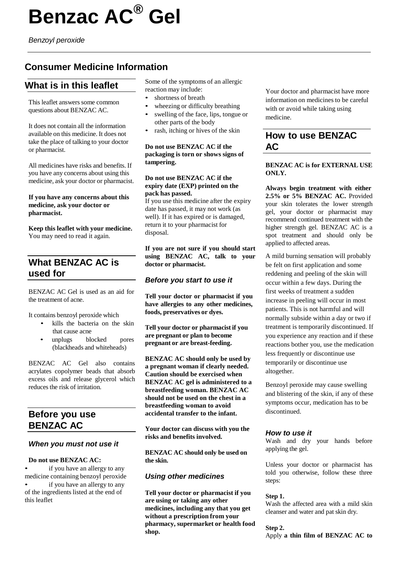# **Benzac AC® Gel**

*Benzoyl peroxide*

# **Consumer Medicine Information**

# **What is in this leaflet**

This leaflet answers some common questions about BENZAC AC.

It does not contain all the information available on this medicine. It does not take the place of talking to your doctor or pharmacist.

All medicines have risks and benefits. If you have any concerns about using this medicine, ask your doctor or pharmacist.

#### **If you have any concerns about this medicine, ask your doctor or pharmacist.**

**Keep this leaflet with your medicine.** You may need to read it again.

# **What BENZAC AC is used for**

BENZAC AC Gel is used as an aid for the treatment of acne.

It contains benzoyl peroxide which

- kills the bacteria on the skin that cause acne
- unplugs blocked pores (blackheads and whiteheads)

BENZAC AC Gel also contains acrylates copolymer beads that absorb excess oils and release glycerol which reduces the risk of irritation.

# **Before you use BENZAC AC**

## *When you must not use it*

#### **Do not use BENZAC AC:**

if you have an allergy to any medicine containing benzoyl peroxide if you have an allergy to any of the ingredients listed at the end of this leaflet

Some of the symptoms of an allergic reaction may include:

- shortness of breath
- wheezing or difficulty breathing
- swelling of the face, lips, tongue or other parts of the body
- rash, itching or hives of the skin

#### **Do not use BENZAC AC if the packaging is torn or shows signs of tampering.**

#### **Do not use BENZAC AC if the expiry date (EXP) printed on the pack has passed.**

If you use this medicine after the expiry date has passed, it may not work (as well). If it has expired or is damaged, return it to your pharmacist for disposal.

**If you are not sure if you should start using BENZAC AC, talk to your doctor or pharmacist.**

## *Before you start to use it*

**Tell your doctor or pharmacist if you have allergies to any other medicines, foods, preservatives or dyes.**

**Tell your doctor or pharmacist if you are pregnant or plan to become pregnant or are breast-feeding.**

**BENZAC AC should only be used by a pregnant woman if clearly needed. Caution should be exercised when BENZAC AC gel is administered to a breastfeeding woman. BENZAC AC should not be used on the chest in a breastfeeding woman to avoid accidental transfer to the infant.**

**Your doctor can discuss with you the risks and benefits involved.**

**BENZAC AC should only be used on the skin.**

# *Using other medicines*

**Tell your doctor or pharmacist if you are using or taking any other medicines, including any that you get without a prescription from your pharmacy, supermarket or health food shop.**

Your doctor and pharmacist have more information on medicines to be careful with or avoid while taking using medicine.

# **How to use BENZAC AC**

## **BENZAC AC is for EXTERNAL USE ONLY.**

**Always begin treatment with either 2.5% or 5% BENZAC AC.** Provided your skin tolerates the lower strength gel, your doctor or pharmacist may recommend continued treatment with the higher strength gel. BENZAC AC is a spot treatment and should only be applied to affected areas.

A mild burning sensation will probably be felt on first application and some reddening and peeling of the skin will occur within a few days. During the first weeks of treatment a sudden increase in peeling will occur in most patients. This is not harmful and will normally subside within a day or two if treatment is temporarily discontinued. If you experience any reaction and if these reactions bother you, use the medication less frequently or discontinue use temporarily or discontinue use altogether.

Benzoyl peroxide may cause swelling and blistering of the skin, if any of these symptoms occur, medication has to be discontinued.

## *How to use it*

Wash and dry your hands before applying the gel.

Unless your doctor or pharmacist has told you otherwise, follow these three steps:

## **Step 1.**

Wash the affected area with a mild skin cleanser and water and pat skin dry.

#### **Step 2.**

Apply **a thin film of BENZAC AC to**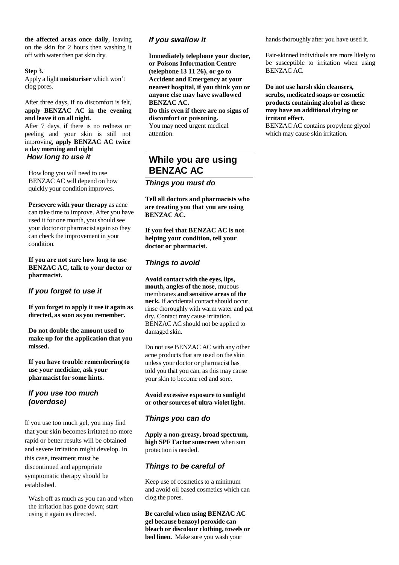**the affected areas once daily**, leaving on the skin for 2 hours then washing it off with water then pat skin dry.

#### **Step 3.**

Apply a light **moisturiser** which won't clog pores.

After three days, if no discomfort is felt, **apply BENZAC AC in the evening and leave it on all night.**

After 7 days, if there is no redness or peeling and your skin is still not improving, **apply BENZAC AC twice a day morning and night** *How long to use it*

How long you will need to use BENZAC AC will depend on how quickly your condition improves.

**Persevere with your therapy** as acne can take time to improve. After you have used it for one month, you should see your doctor or pharmacist again so they can check the improvement in your condition.

**If you are not sure how long to use BENZAC AC, talk to your doctor or pharmacist.**

## *If you forget to use it*

**If you forget to apply it use it again as directed, as soon as you remember.**

**Do not double the amount used to make up for the application that you missed.**

**If you have trouble remembering to use your medicine, ask your pharmacist for some hints.**

# *If you use too much (overdose)*

If you use too much gel, you may find that your skin becomes irritated no more rapid or better results will be obtained and severe irritation might develop. In this case, treatment must be discontinued and appropriate symptomatic therapy should be established.

Wash off as much as you can and when the irritation has gone down; start using it again as directed.

#### *If you swallow it*

**Immediately telephone your doctor, or Poisons Information Centre (telephone 13 11 26), or go to Accident and Emergency at your nearest hospital, if you think you or anyone else may have swallowed BENZAC AC.**

**Do this even if there are no signs of discomfort or poisoning.**

You may need urgent medical attention.

# **While you are using BENZAC AC**

*Things you must do*

**Tell all doctors and pharmacists who are treating you that you are using BENZAC AC.**

**If you feel that BENZAC AC is not helping your condition, tell your doctor or pharmacist.**

# *Things to avoid*

**Avoid contact with the eyes, lips, mouth, angles of the nose**, mucous membranes **and sensitive areas of the** neck. If accidental contact should occur, rinse thoroughly with warm water and pat dry. Contact may cause irritation. BENZAC AC should not be applied to damaged skin.

Do not use BENZAC AC with any other acne products that are used on the skin unless your doctor or pharmacist has told you that you can, as this may cause your skin to become red and sore.

**Avoid excessive exposure to sunlight or other sources of ultra-violet light.**

## *Things you can do*

**Apply a non-greasy, broad spectrum, high SPF Factor sunscreen** when sun protection is needed.

# *Things to be careful of*

Keep use of cosmetics to a minimum and avoid oil based cosmetics which can clog the pores.

**Be careful when using BENZAC AC gel because benzoyl peroxide can bleach or discolour clothing, towels or bed linen.** Make sure you wash your

hands thoroughly after you have used it.

Fair-skinned individuals are more likely to be susceptible to irritation when using BENZAC AC.

**Do not use harsh skin cleansers, scrubs, medicated soaps or cosmetic products containing alcohol as these may have an additional drying or irritant effect.**

BENZAC AC contains propylene glycol which may cause skin irritation.